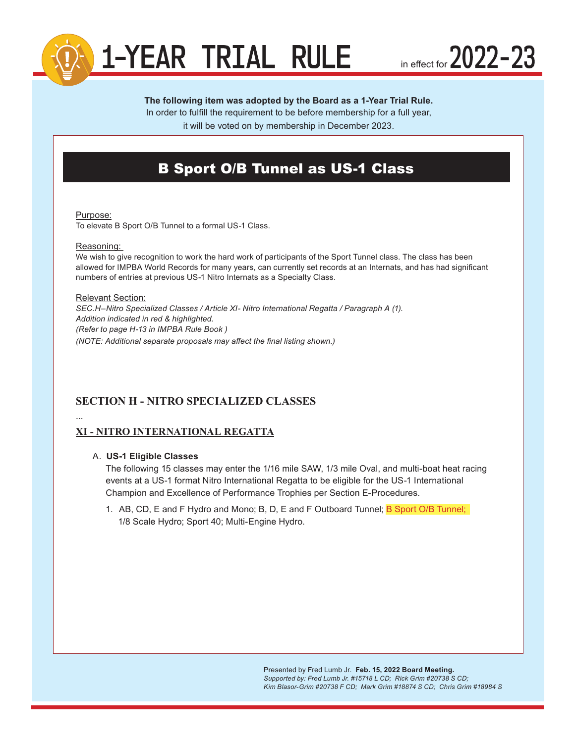

in effect for  $2022 - 23$ 

# **The following item was adopted by the Board as a 1-Year Trial Rule.**

In order to fulfill the requirement to be before membership for a full year,

it will be voted on by membership in December 2023.

# B Sport O/B Tunnel as US-1 Class

#### Purpose:

To elevate B Sport O/B Tunnel to a formal US-1 Class.

#### Reasoning:

We wish to give recognition to work the hard work of participants of the Sport Tunnel class. The class has been allowed for IMPBA World Records for many years, can currently set records at an Internats, and has had significant numbers of entries at previous US-1 Nitro Internats as a Specialty Class.

### Relevant Section: *SEC.H–Nitro Specialized Classes / Article XI- Nitro International Regatta / Paragraph A (1). Addition indicated in red & highlighted. (Refer to page H-13 in IMPBA Rule Book ) (NOTE: Additional separate proposals may affect the final listing shown.)*

# **SECTION H - NITRO SPECIALIZED CLASSES**

# ...

## **XI - NITRO INTERNATIONAL REGATTA**

#### A. **US-1 Eligible Classes**

The following 15 classes may enter the 1/16 mile SAW, 1/3 mile Oval, and multi-boat heat racing events at a US-1 format Nitro International Regatta to be eligible for the US-1 International Champion and Excellence of Performance Trophies per Section E-Procedures.

1. AB, CD, E and F Hydro and Mono; B, D, E and F Outboard Tunnel; B Sport O/B Tunnel; 1/8 Scale Hydro; Sport 40; Multi-Engine Hydro.

> Presented by Fred Lumb Jr. **Feb. 15, 2022 Board Meeting.**  *Supported by: Fred Lumb Jr. #15718 L CD; Rick Grim #20738 S CD; Kim Blasor-Grim #20738 F CD; Mark Grim #18874 S CD; Chris Grim #18984 S*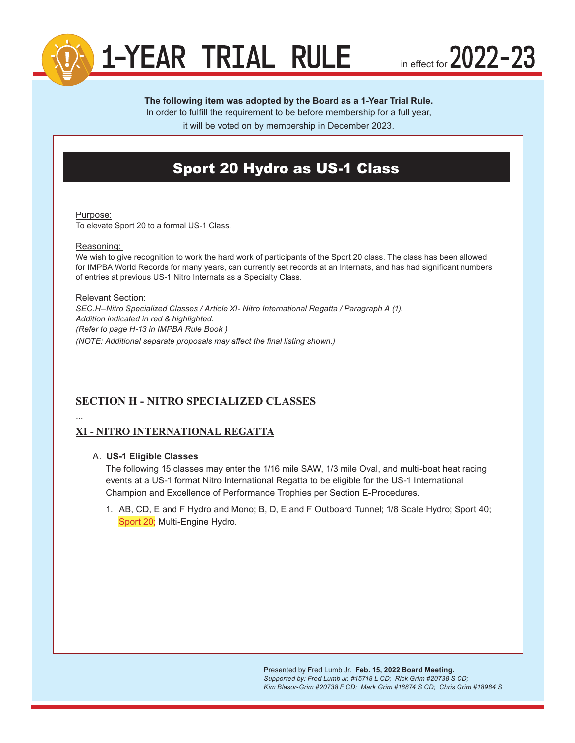

in effect for  $2022 - 23$ 

# **The following item was adopted by the Board as a 1-Year Trial Rule.**

In order to fulfill the requirement to be before membership for a full year,

it will be voted on by membership in December 2023.

# Sport 20 Hydro as US-1 Class

#### Purpose:

To elevate Sport 20 to a formal US-1 Class.

#### Reasoning:

We wish to give recognition to work the hard work of participants of the Sport 20 class. The class has been allowed for IMPBA World Records for many years, can currently set records at an Internats, and has had significant numbers of entries at previous US-1 Nitro Internats as a Specialty Class.

## Relevant Section: *SEC.H–Nitro Specialized Classes / Article XI- Nitro International Regatta / Paragraph A (1). Addition indicated in red & highlighted. (Refer to page H-13 in IMPBA Rule Book ) (NOTE: Additional separate proposals may affect the final listing shown.)*

# **SECTION H - NITRO SPECIALIZED CLASSES**

# ...

## **XI - NITRO INTERNATIONAL REGATTA**

#### A. **US-1 Eligible Classes**

The following 15 classes may enter the 1/16 mile SAW, 1/3 mile Oval, and multi-boat heat racing events at a US-1 format Nitro International Regatta to be eligible for the US-1 International Champion and Excellence of Performance Trophies per Section E-Procedures.

1. AB, CD, E and F Hydro and Mono; B, D, E and F Outboard Tunnel; 1/8 Scale Hydro; Sport 40; Sport 20; Multi-Engine Hydro.

> Presented by Fred Lumb Jr. **Feb. 15, 2022 Board Meeting.**  *Supported by: Fred Lumb Jr. #15718 L CD; Rick Grim #20738 S CD; Kim Blasor-Grim #20738 F CD; Mark Grim #18874 S CD; Chris Grim #18984 S*